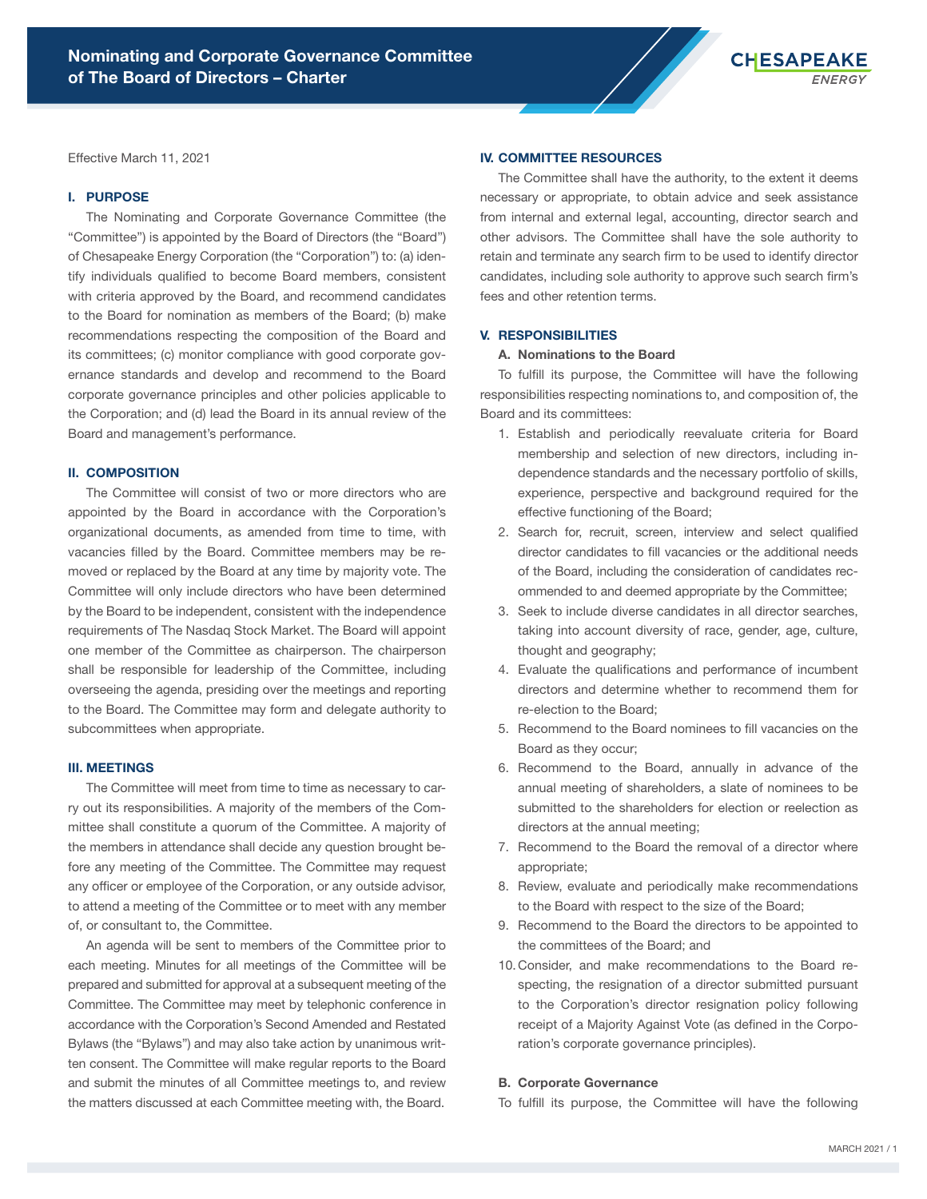

Effective March 11, 2021

### I. PURPOSE

The Nominating and Corporate Governance Committee (the "Committee") is appointed by the Board of Directors (the "Board") of Chesapeake Energy Corporation (the "Corporation") to: (a) identify individuals qualified to become Board members, consistent with criteria approved by the Board, and recommend candidates to the Board for nomination as members of the Board; (b) make recommendations respecting the composition of the Board and its committees; (c) monitor compliance with good corporate governance standards and develop and recommend to the Board corporate governance principles and other policies applicable to the Corporation; and (d) lead the Board in its annual review of the Board and management's performance.

# II. COMPOSITION

The Committee will consist of two or more directors who are appointed by the Board in accordance with the Corporation's organizational documents, as amended from time to time, with vacancies filled by the Board. Committee members may be removed or replaced by the Board at any time by majority vote. The Committee will only include directors who have been determined by the Board to be independent, consistent with the independence requirements of The Nasdaq Stock Market. The Board will appoint one member of the Committee as chairperson. The chairperson shall be responsible for leadership of the Committee, including overseeing the agenda, presiding over the meetings and reporting to the Board. The Committee may form and delegate authority to subcommittees when appropriate.

### III. MEETINGS

The Committee will meet from time to time as necessary to carry out its responsibilities. A majority of the members of the Committee shall constitute a quorum of the Committee. A majority of the members in attendance shall decide any question brought before any meeting of the Committee. The Committee may request any officer or employee of the Corporation, or any outside advisor, to attend a meeting of the Committee or to meet with any member of, or consultant to, the Committee.

An agenda will be sent to members of the Committee prior to each meeting. Minutes for all meetings of the Committee will be prepared and submitted for approval at a subsequent meeting of the Committee. The Committee may meet by telephonic conference in accordance with the Corporation's Second Amended and Restated Bylaws (the "Bylaws") and may also take action by unanimous written consent. The Committee will make regular reports to the Board and submit the minutes of all Committee meetings to, and review the matters discussed at each Committee meeting with, the Board.

# IV. COMMITTEE RESOURCES

The Committee shall have the authority, to the extent it deems necessary or appropriate, to obtain advice and seek assistance from internal and external legal, accounting, director search and other advisors. The Committee shall have the sole authority to retain and terminate any search firm to be used to identify director candidates, including sole authority to approve such search firm's fees and other retention terms.

## V. RESPONSIBILITIES

#### A. Nominations to the Board

To fulfill its purpose, the Committee will have the following responsibilities respecting nominations to, and composition of, the Board and its committees:

- 1. Establish and periodically reevaluate criteria for Board membership and selection of new directors, including independence standards and the necessary portfolio of skills, experience, perspective and background required for the effective functioning of the Board;
- 2. Search for, recruit, screen, interview and select qualified director candidates to fill vacancies or the additional needs of the Board, including the consideration of candidates recommended to and deemed appropriate by the Committee;
- 3. Seek to include diverse candidates in all director searches, taking into account diversity of race, gender, age, culture, thought and geography;
- 4. Evaluate the qualifications and performance of incumbent directors and determine whether to recommend them for re-election to the Board;
- 5. Recommend to the Board nominees to fill vacancies on the Board as they occur;
- 6. Recommend to the Board, annually in advance of the annual meeting of shareholders, a slate of nominees to be submitted to the shareholders for election or reelection as directors at the annual meeting;
- 7. Recommend to the Board the removal of a director where appropriate;
- 8. Review, evaluate and periodically make recommendations to the Board with respect to the size of the Board;
- 9. Recommend to the Board the directors to be appointed to the committees of the Board; and
- 10. Consider, and make recommendations to the Board respecting, the resignation of a director submitted pursuant to the Corporation's director resignation policy following receipt of a Majority Against Vote (as defined in the Corporation's corporate governance principles).

# B. Corporate Governance

To fulfill its purpose, the Committee will have the following